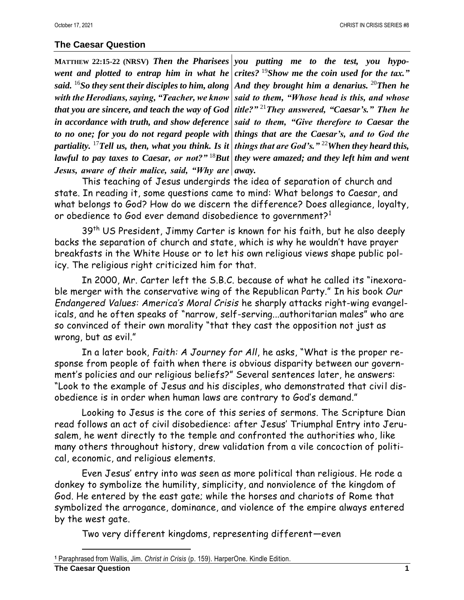## **The Caesar Question**

**MATTHEW 22:15-22 (NRSV)** *Then the Pharisees you putting me to the test, you hypo*went and plotted to entrap him in what he *crites?* <sup>19</sup>*Show me the coin used for the tax.*" *said.* <sup>16</sup>*So they sent their disciples to him, along And they brought him a denarius.* <sup>20</sup>*Then he with the Herodians, saying, "Teacher, we know that you are sincere, and teach the way of God in accordance with truth, and show deference said to them, "Give therefore to Caesar the*  to no one; for you do not regard people with things that are the Caesar's, and to God the *partiality.* <sup>17</sup>*Tell us, then, what you think. Is it things that are God's."* <sup>22</sup>*When they heard this, lawful to pay taxes to Caesar, or not?"* <sup>18</sup>*But they were amazed; and they left him and went Jesus, aware of their malice, said, "Why are away.* 

*said to them, "Whose head is this, and whose title?"* <sup>21</sup>*They answered, "Caesar's." Then he* 

This teaching of Jesus undergirds the idea of separation of church and state. In reading it, some questions came to mind: What belongs to Caesar, and what belongs to God? How do we discern the difference? Does allegiance, loyalty, or obedience to God ever demand disobedience to government?<sup>1</sup>

39<sup>th</sup> US President, Jimmy Carter is known for his faith, but he also deeply backs the separation of church and state, which is why he wouldn't have prayer breakfasts in the White House or to let his own religious views shape public policy. The religious right criticized him for that.

In 2000, Mr. Carter left the S.B.C. because of what he called its "inexorable merger with the conservative wing of the Republican Party." In his book *Our Endangered Values: America's Moral Crisis* he sharply attacks right-wing evangelicals, and he often speaks of "narrow, self-serving...authoritarian males" who are so convinced of their own morality "that they cast the opposition not just as wrong, but as evil."

In a later book, *Faith: A Journey for All*, he asks, "What is the proper response from people of faith when there is obvious disparity between our government's policies and our religious beliefs?" Several sentences later, he answers: "Look to the example of Jesus and his disciples, who demonstrated that civil disobedience is in order when human laws are contrary to God's demand."

Looking to Jesus is the core of this series of sermons. The Scripture Dian read follows an act of civil disobedience: after Jesus' Triumphal Entry into Jerusalem, he went directly to the temple and confronted the authorities who, like many others throughout history, drew validation from a vile concoction of political, economic, and religious elements.

Even Jesus' entry into was seen as more political than religious. He rode a donkey to symbolize the humility, simplicity, and nonviolence of the kingdom of God. He entered by the east gate; while the horses and chariots of Rome that symbolized the arrogance, dominance, and violence of the empire always entered by the west gate.

Two very different kingdoms, representing different—even

**<sup>1</sup>** Paraphrased from Wallis, Jim. *Christ in Crisis* (p. 159). HarperOne. Kindle Edition.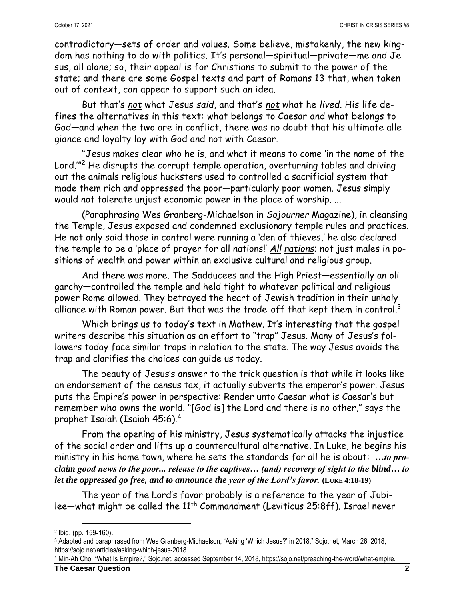contradictory—sets of order and values. Some believe, mistakenly, the new kingdom has nothing to do with politics. It's personal—spiritual—private—me and Jesus, all alone; so, their appeal is for Christians to submit to the power of the state; and there are some Gospel texts and part of Romans 13 that, when taken out of context, can appear to support such an idea.

But that's *not* what Jesus *said*, and that's *not* what he *lived*. His life defines the alternatives in this text: what belongs to Caesar and what belongs to God—and when the two are in conflict, there was no doubt that his ultimate allegiance and loyalty lay with God and not with Caesar.

"Jesus makes clear who he is, and what it means to come 'in the name of the Lord.'" <sup>2</sup> He disrupts the corrupt temple operation, overturning tables and driving out the animals religious hucksters used to controlled a sacrificial system that made them rich and oppressed the poor—particularly poor women. Jesus simply would not tolerate unjust economic power in the place of worship. ...

(Paraphrasing Wes Granberg-Michaelson in *Sojourner* Magazine), in cleansing the Temple, Jesus exposed and condemned exclusionary temple rules and practices. He not only said those in control were running a 'den of thieves,' he also declared the temple to be a 'place of prayer for all nations!' *All nations*; not just males in positions of wealth and power within an exclusive cultural and religious group.

And there was more. The Sadducees and the High Priest—essentially an oligarchy—controlled the temple and held tight to whatever political and religious power Rome allowed. They betrayed the heart of Jewish tradition in their unholy alliance with Roman power. But that was the trade-off that kept them in control. $^{\rm 3}$ 

Which brings us to today's text in Mathew. It's interesting that the gospel writers describe this situation as an effort to "trap" Jesus. Many of Jesus's followers today face similar traps in relation to the state. The way Jesus avoids the trap and clarifies the choices can guide us today.

The beauty of Jesus's answer to the trick question is that while it looks like an endorsement of the census tax, it actually subverts the emperor's power. Jesus puts the Empire's power in perspective: Render unto Caesar what is Caesar's but remember who owns the world. "[God is] the Lord and there is no other," says the prophet Isaiah (Isaiah 45:6).<sup>4</sup>

From the opening of his ministry, Jesus systematically attacks the injustice of the social order and lifts up a countercultural alternative. In Luke, he begins his ministry in his home town, where he sets the standards for all he is about: *…to proclaim good news to the poor... release to the captives… (and) recovery of sight to the blind… to let the oppressed go free, and to announce the year of the Lord's favor.* **(LUKE 4:18-19)**

The year of the Lord's favor probably is a reference to the year of Jubilee-what might be called the 11<sup>th</sup> Commandment (Leviticus 25:8ff). Israel never

<sup>2</sup> Ibid. (pp. 159-160).

<sup>3</sup> Adapted and paraphrased from Wes Granberg-Michaelson, "Asking 'Which Jesus?' in 2018," Sojo.net, March 26, 2018, https://sojo.net/articles/asking-which-jesus-2018.

<sup>4</sup> Min-Ah Cho, "What Is Empire?," Sojo.net, accessed September 14, 2018, https://sojo.net/preaching-the-word/what-empire.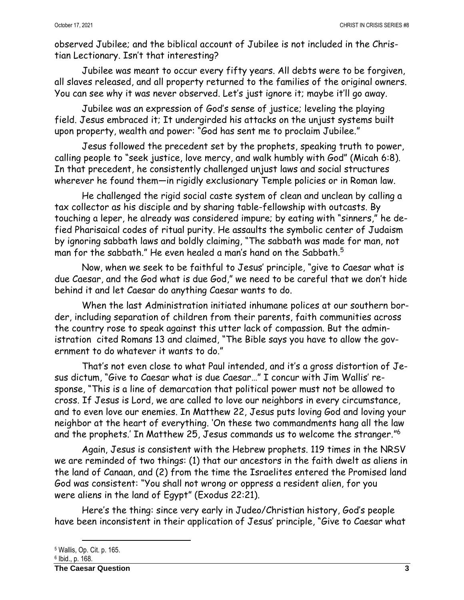observed Jubilee; and the biblical account of Jubilee is not included in the Christian Lectionary. Isn't that interesting?

Jubilee was meant to occur every fifty years. All debts were to be forgiven, all slaves released, and all property returned to the families of the original owners. You can see why it was never observed. Let's just ignore it; maybe it'll go away.

Jubilee was an expression of God's sense of justice; leveling the playing field. Jesus embraced it; It undergirded his attacks on the unjust systems built upon property, wealth and power: "God has sent me to proclaim Jubilee."

Jesus followed the precedent set by the prophets, speaking truth to power, calling people to "seek justice, love mercy, and walk humbly with God" (Micah 6:8). In that precedent, he consistently challenged unjust laws and social structures wherever he found them—in rigidly exclusionary Temple policies or in Roman law.

He challenged the rigid social caste system of clean and unclean by calling a tax collector as his disciple and by sharing table-fellowship with outcasts. By touching a leper, he already was considered impure; by eating with "sinners," he defied Pharisaical codes of ritual purity. He assaults the symbolic center of Judaism by ignoring sabbath laws and boldly claiming, "The sabbath was made for man, not man for the sabbath." He even healed a man's hand on the Sabbath. 5

Now, when we seek to be faithful to Jesus' principle, "give to Caesar what is due Caesar, and the God what is due God," we need to be careful that we don't hide behind it and let Caesar do anything Caesar wants to do.

When the last Administration initiated inhumane polices at our southern border, including separation of children from their parents, faith communities across the country rose to speak against this utter lack of compassion. But the administration cited Romans 13 and claimed, "The Bible says you have to allow the government to do whatever it wants to do."

That's not even close to what Paul intended, and it's a gross distortion of Jesus dictum, "Give to Caesar what is due Caesar…" I concur with Jim Wallis' response, "This is a line of demarcation that political power must not be allowed to cross. If Jesus is Lord, we are called to love our neighbors in every circumstance, and to even love our enemies. In Matthew 22, Jesus puts loving God and loving your neighbor at the heart of everything. 'On these two commandments hang all the law and the prophets.' In Matthew 25, Jesus commands us to welcome the stranger." 6

Again, Jesus is consistent with the Hebrew prophets. 119 times in the NRSV we are reminded of two things: (1) that our ancestors in the faith dwelt as aliens in the land of Canaan, and (2) from the time the Israelites entered the Promised land God was consistent: "You shall not wrong or oppress a resident alien, for you were aliens in the land of Egypt" (Exodus 22:21).

Here's the thing: since very early in Judeo/Christian history, God's people have been inconsistent in their application of Jesus' principle, "Give to Caesar what

<sup>5</sup> Wallis, Op. Cit. p. 165.

<sup>6</sup> Ibid., p. 168.